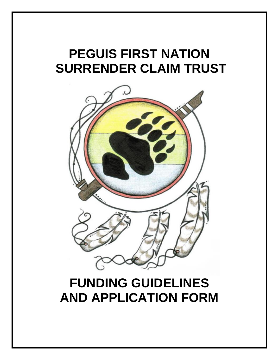# **PEGUIS FIRST NATION SURRENDER CLAIM TRUST**



# **FUNDING GUIDELINES AND APPLICATION FORM**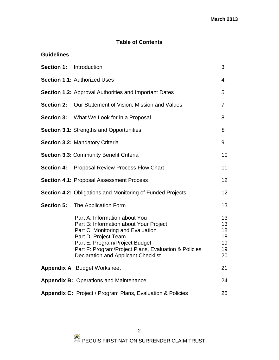## **Table of Contents**

| <b>Section 1:</b> Introduction |                                                                                                                                                                                                                                                                              | 3                                      |
|--------------------------------|------------------------------------------------------------------------------------------------------------------------------------------------------------------------------------------------------------------------------------------------------------------------------|----------------------------------------|
|                                | <b>Section 1.1: Authorized Uses</b>                                                                                                                                                                                                                                          | 4                                      |
|                                | <b>Section 1.2:</b> Approval Authorities and Important Dates                                                                                                                                                                                                                 | 5                                      |
| <b>Section 2:</b>              | Our Statement of Vision, Mission and Values                                                                                                                                                                                                                                  | $\overline{7}$                         |
| <b>Section 3:</b>              | What We Look for in a Proposal                                                                                                                                                                                                                                               | 8                                      |
|                                | <b>Section 3.1: Strengths and Opportunities</b>                                                                                                                                                                                                                              | 8                                      |
|                                | Section 3.2: Mandatory Criteria                                                                                                                                                                                                                                              | 9                                      |
|                                | <b>Section 3.3: Community Benefit Criteria</b>                                                                                                                                                                                                                               | 10                                     |
| <b>Section 4:</b>              | <b>Proposal Review Process Flow Chart</b>                                                                                                                                                                                                                                    | 11                                     |
|                                | Section 4.1: Proposal Assessment Process                                                                                                                                                                                                                                     | 12                                     |
|                                | <b>Section 4.2: Obligations and Monitoring of Funded Projects</b>                                                                                                                                                                                                            | 12                                     |
|                                | <b>Section 5:</b> The Application Form                                                                                                                                                                                                                                       | 13                                     |
|                                | Part A: Information about You<br>Part B: Information about Your Project<br>Part C: Monitoring and Evaluation<br>Part D: Project Team<br>Part E: Program/Project Budget<br>Part F: Program/Project Plans, Evaluation & Policies<br><b>Declaration and Applicant Checklist</b> | 13<br>13<br>18<br>18<br>19<br>19<br>20 |
|                                | <b>Appendix A: Budget Worksheet</b>                                                                                                                                                                                                                                          | 21                                     |
|                                | <b>Appendix B: Operations and Maintenance</b>                                                                                                                                                                                                                                | 24                                     |
|                                | <b>Appendix C:</b> Project / Program Plans, Evaluation & Policies                                                                                                                                                                                                            | 25                                     |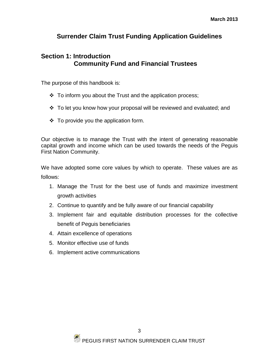## **Surrender Claim Trust Funding Application Guidelines**

## **Section 1: Introduction Community Fund and Financial Trustees**

The purpose of this handbook is:

- $\div$  To inform you about the Trust and the application process;
- $\div$  To let you know how your proposal will be reviewed and evaluated; and
- $\div$  To provide you the application form.

Our objective is to manage the Trust with the intent of generating reasonable capital growth and income which can be used towards the needs of the Peguis First Nation Community.

We have adopted some core values by which to operate. These values are as follows:

- 1. Manage the Trust for the best use of funds and maximize investment growth activities
- 2. Continue to quantify and be fully aware of our financial capability
- 3. Implement fair and equitable distribution processes for the collective benefit of Peguis beneficiaries
- 4. Attain excellence of operations
- 5. Monitor effective use of funds
- 6. Implement active communications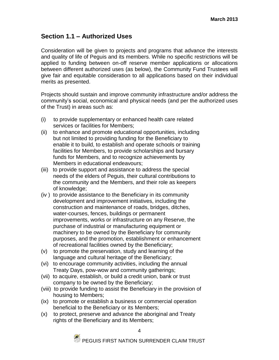## **Section 1.1 – Authorized Uses**

Consideration will be given to projects and programs that advance the interests and quality of life of Peguis and its members. While no specific restrictions will be applied to funding between on-off reserve member applications or allocations between different authorized uses (as below), the Community Fund Trustees will give fair and equitable consideration to all applications based on their individual merits as presented.

Projects should sustain and improve community infrastructure and/or address the community's social, economical and physical needs (and per the authorized uses of the Trust) in areas such as:

- (i) to provide supplementary or enhanced health care related services or facilities for Members;
- (ii) to enhance and promote educational opportunities, including but not limited to providing funding for the Beneficiary to enable it to build, to establish and operate schools or training facilities for Members, to provide scholarships and bursary funds for Members, and to recognize achievements by Members in educational endeavours;
- (iii) to provide support and assistance to address the special needs of the elders of Peguis, their cultural contributions to the community and the Members, and their role as keepers of knowledge;
- (iv ) to provide assistance to the Beneficiary in its community development and improvement initiatives, including the construction and maintenance of roads, bridges, ditches, water-courses, fences, buildings or permanent improvements, works or infrastructure on any Reserve, the purchase of industrial or manufacturing equipment or machinery to be owned by the Beneficiary for community purposes, and the promotion, establishment or enhancement of recreational facilities owned by the Beneficiary;
- (v) to promote the preservation, study and learning of the language and cultural heritage of the Beneficiary;
- (vi) to encourage community activities, including the annual Treaty Days, pow-wow and community gatherings;
- (vii) to acquire, establish, or build a credit union, bank or trust company to be owned by the Beneficiary;
- (viii) to provide funding to assist the Beneficiary in the provision of housing to Members;
- (ix) to promote or establish a business or commercial operation beneficial to the Beneficiary or its Members;
- (x) to protect, preserve and advance the aboriginal and Treaty rights of the Beneficiary and its Members;

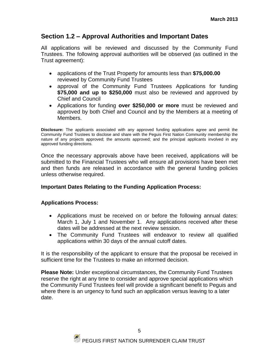## **Section 1.2 – Approval Authorities and Important Dates**

All applications will be reviewed and discussed by the Community Fund Trustees. The following approval authorities will be observed (as outlined in the Trust agreement):

- applications of the Trust Property for amounts less than **\$75,000.00** reviewed by Community Fund Trustees
- approval of the Community Fund Trustees Applications for funding **\$75,000 and up to \$250,000** must also be reviewed and approved by Chief and Council
- Applications for funding **over \$250,000 or more** must be reviewed and approved by both Chief and Council and by the Members at a meeting of Members.

**Disclosure:** The applicants associated with any approved funding applications agree and permit the Community Fund Trustees to disclose and share with the Peguis First Nation Community membership the nature of any projects approved; the amounts approved; and the principal applicants involved in any approved funding directions.

Once the necessary approvals above have been received, applications will be submitted to the Financial Trustees who will ensure all provisions have been met and then funds are released in accordance with the general funding policies unless otherwise required.

#### **Important Dates Relating to the Funding Application Process:**

#### **Applications Process:**

- Applications must be received on or before the following annual dates: March 1, July 1 and November 1. Any applications received after these dates will be addressed at the next review session.
- The Community Fund Trustees will endeavor to review all qualified applications within 30 days of the annual cutoff dates.

It is the responsibility of the applicant to ensure that the proposal be received in sufficient time for the Trustees to make an informed decision.

**Please Note:** Under exceptional circumstances, the Community Fund Trustees reserve the right at any time to consider and approve special applications which the Community Fund Trustees feel will provide a significant benefit to Peguis and where there is an urgency to fund such an application versus leaving to a later date.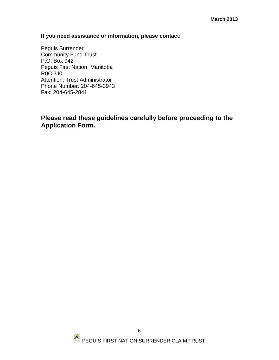#### **If you need assistance or information, please contact:**

Peguis Surrender Community Fund Trust P.O. Box 942 Peguis First Nation, Manitoba R0C 3J0 Attention: Trust Administrator Phone Number: 204-645-3943 Fax: 204-645-2841

## **Please read these guidelines carefully before proceeding to the Application Form.**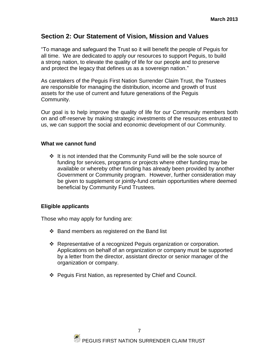## **Section 2: Our Statement of Vision, Mission and Values**

"To manage and safeguard the Trust so it will benefit the people of Peguis for all time. We are dedicated to apply our resources to support Peguis, to build a strong nation, to elevate the quality of life for our people and to preserve and protect the legacy that defines us as a sovereign nation."

As caretakers of the Peguis First Nation Surrender Claim Trust, the Trustees are responsible for managing the distribution, income and growth of trust assets for the use of current and future generations of the Peguis Community.

Our goal is to help improve the quality of life for our Community members both on and off-reserve by making strategic investments of the resources entrusted to us, we can support the social and economic development of our Community.

#### **What we cannot fund**

 $\div$  It is not intended that the Community Fund will be the sole source of funding for services, programs or projects where other funding may be available or whereby other funding has already been provided by another Government or Community program. However, further consideration may be given to supplement or jointly-fund certain opportunities where deemed beneficial by Community Fund Trustees.

#### **Eligible applicants**

Those who may apply for funding are:

- $\div$  Band members as registered on the Band list
- Representative of a recognized Peguis organization or corporation. Applications on behalf of an organization or company must be supported by a letter from the director, assistant director or senior manager of the organization or company.
- Peguis First Nation, as represented by Chief and Council.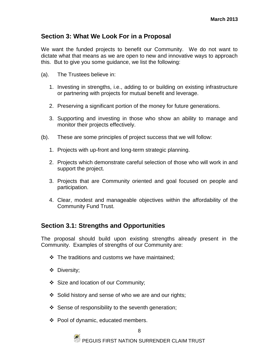## **Section 3: What We Look For in a Proposal**

We want the funded projects to benefit our Community. We do not want to dictate what that means as we are open to new and innovative ways to approach this. But to give you some guidance, we list the following:

- (a). The Trustees believe in:
	- 1. Investing in strengths, i.e., adding to or building on existing infrastructure or partnering with projects for mutual benefit and leverage.
	- 2. Preserving a significant portion of the money for future generations.
	- 3. Supporting and investing in those who show an ability to manage and monitor their projects effectively.
- (b). These are some principles of project success that we will follow:
	- 1. Projects with up-front and long-term strategic planning.
	- 2. Projects which demonstrate careful selection of those who will work in and support the project.
	- 3. Projects that are Community oriented and goal focused on people and participation.
	- 4. Clear, modest and manageable objectives within the affordability of the Community Fund Trust.

## **Section 3.1: Strengths and Opportunities**

The proposal should build upon existing strengths already present in the Community. Examples of strengths of our Community are:

- $\div$  The traditions and customs we have maintained;
- Diversity;
- Size and location of our Community;
- Solid history and sense of who we are and our rights;
- $\div$  Sense of responsibility to the seventh generation;
- ❖ Pool of dynamic, educated members.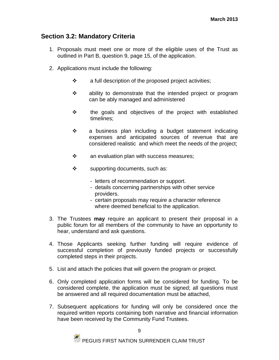## **Section 3.2: Mandatory Criteria**

- 1. Proposals must meet one or more of the eligible uses of the Trust as outlined in Part B, question 9, page 15, of the application.
- 2. Applications must include the following:
	- $\cdot \cdot$  a full description of the proposed project activities;
	- ability to demonstrate that the intended project or program can be ably managed and administered
	- \* the goals and objectives of the project with established timelines;
	- a business plan including a budget statement indicating expenses and anticipated sources of revenue that are considered realistic and which meet the needs of the project;
	- $\mathbf{\hat{P}}$  an evaluation plan with success measures;
	- $\div$  supporting documents, such as:
		- letters of recommendation or support.
		- details concerning partnerships with other service providers.
		- certain proposals may require a character reference where deemed beneficial to the application.
- 3. The Trustees **may** require an applicant to present their proposal in a public forum for all members of the community to have an opportunity to hear, understand and ask questions.
- 4. Those Applicants seeking further funding will require evidence of successful completion of previously funded projects or successfully completed steps in their projects.
- 5. List and attach the policies that will govern the program or project.
- 6. Only completed application forms will be considered for funding. To be considered complete, the application must be signed; all questions must be answered and all required documentation must be attached,
- 7. Subsequent applications for funding will only be considered once the required written reports containing both narrative and financial information have been received by the Community Fund Trustees.

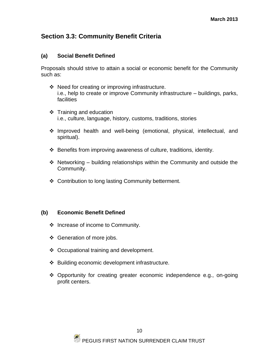## **Section 3.3: Community Benefit Criteria**

#### **(a) Social Benefit Defined**

Proposals should strive to attain a social or economic benefit for the Community such as:

- ❖ Need for creating or improving infrastructure. i.e., help to create or improve Community infrastructure – buildings, parks, facilities
- $\div$  Training and education i.e., culture, language, history, customs, traditions, stories
- Improved health and well-being (emotional, physical, intellectual, and spiritual).
- Benefits from improving awareness of culture, traditions, identity.
- $\cdot$  Networking building relationships within the Community and outside the Community.
- ❖ Contribution to long lasting Community betterment.

#### **(b) Economic Benefit Defined**

- ❖ Increase of income to Community.
- ❖ Generation of more jobs.
- ❖ Occupational training and development.
- Building economic development infrastructure.
- Opportunity for creating greater economic independence e.g., on-going profit centers.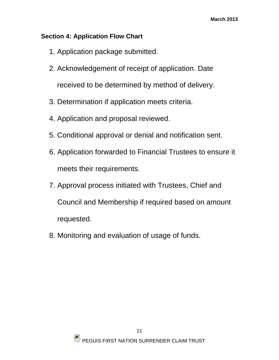## **Section 4: Application Flow Chart**

- 1. Application package submitted.
- 2. Acknowledgement of receipt of application. Date received to be determined by method of delivery.
- 3. Determination if application meets criteria.
- 4. Application and proposal reviewed.
- 5. Conditional approval or denial and notification sent.
- 6. Application forwarded to Financial Trustees to ensure it meets their requirements.
- 7. Approval process initiated with Trustees, Chief and Council and Membership if required based on amount requested.
- 8. Monitoring and evaluation of usage of funds.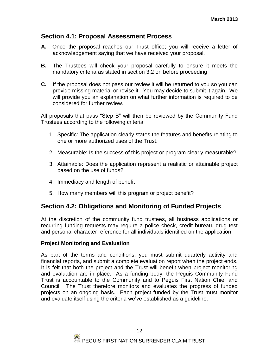## **Section 4.1: Proposal Assessment Process**

- **A.** Once the proposal reaches our Trust office; you will receive a letter of acknowledgement saying that we have received your proposal.
- **B.** The Trustees will check your proposal carefully to ensure it meets the mandatory criteria as stated in section 3.2 on before proceeding
- **C.** If the proposal does not pass our review it will be returned to you so you can provide missing material or revise it. You may decide to submit it again. We will provide you an explanation on what further information is required to be considered for further review.

All proposals that pass "Step B" will then be reviewed by the Community Fund Trustees according to the following criteria:

- 1. Specific: The application clearly states the features and benefits relating to one or more authorized uses of the Trust.
- 2. Measurable: Is the success of this project or program clearly measurable?
- 3. Attainable: Does the application represent a realistic or attainable project based on the use of funds?
- 4. Immediacy and length of benefit
- 5. How many members will this program or project benefit?

## **Section 4.2: Obligations and Monitoring of Funded Projects**

At the discretion of the community fund trustees, all business applications or recurring funding requests may require a police check, credit bureau, drug test and personal character reference for all individuals identified on the application.

#### **Project Monitoring and Evaluation**

As part of the terms and conditions, you must submit quarterly activity and financial reports, and submit a complete evaluation report when the project ends. It is felt that both the project and the Trust will benefit when project monitoring and evaluation are in place. As a funding body, the Peguis Community Fund Trust is accountable to the Community and to Peguis First Nation Chief and Council. The Trust therefore monitors and evaluates the progress of funded projects on an ongoing basis. Each project funded by the Trust must monitor and evaluate itself using the criteria we've established as a guideline.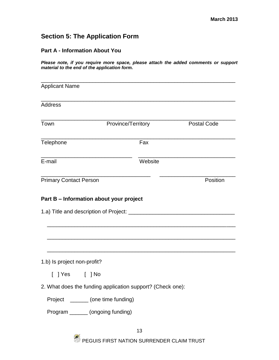## **Section 5: The Application Form**

#### **Part A - Information About You**

*Please note, if you require more space, please attach the added comments or support material to the end of the application form.*

| <b>Applicant Name</b>                  |                                                            |         |                    |
|----------------------------------------|------------------------------------------------------------|---------|--------------------|
| <b>Address</b>                         |                                                            |         |                    |
| Town                                   | Province/Territory                                         |         | <b>Postal Code</b> |
| Telephone                              |                                                            | Fax     |                    |
| E-mail                                 |                                                            | Website |                    |
| <b>Primary Contact Person</b>          |                                                            |         | Position           |
| 1.a) Title and description of Project: |                                                            |         |                    |
| 1.b) Is project non-profit?            |                                                            |         |                    |
| ] Yes<br>$\Gamma$                      | ] No                                                       |         |                    |
|                                        | 2. What does the funding application support? (Check one): |         |                    |
|                                        | Project _______ (one time funding)                         |         |                    |
|                                        | Program _______ (ongoing funding)                          |         |                    |
|                                        |                                                            |         |                    |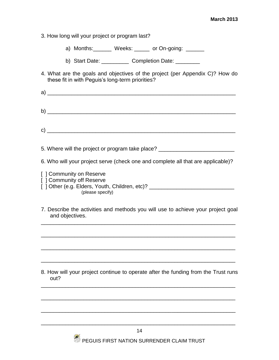- 3. How long will your project or program last?
	- a) Months: Weeks: \_\_\_\_\_ or On-going: \_\_\_\_\_
	- b) Start Date: Completion Date: \_\_\_\_\_\_\_
- 4. What are the goals and objectives of the project (per Appendix C)? How do these fit in with Peguis's long-term priorities?
- a)  $\_$   $\,$ b) \_\_\_\_\_\_\_\_\_\_\_\_\_\_\_\_\_\_\_\_\_\_\_\_\_\_\_\_\_\_\_\_\_\_\_\_\_\_\_\_\_\_\_\_\_\_\_\_\_\_\_\_\_\_\_\_\_\_\_\_\_\_
- $\mathbf{c})$
- 5. Where will the project or program take place? \_\_\_\_\_\_\_\_\_\_\_\_\_\_\_\_\_\_\_\_\_\_\_\_\_\_\_\_\_\_\_
- 6. Who will your project serve (check one and complete all that are applicable)?
- [ ] Community on Reserve [ ] Community off Reserve
- [ ] Other (e.g. Elders, Youth, Children, etc)? \_\_\_\_\_\_\_\_\_\_\_\_\_\_\_\_\_\_\_\_\_\_\_\_\_\_\_\_\_\_\_\_\_ (please specify)
- 7. Describe the activities and methods you will use to achieve your project goal and objectives.

\_\_\_\_\_\_\_\_\_\_\_\_\_\_\_\_\_\_\_\_\_\_\_\_\_\_\_\_\_\_\_\_\_\_\_\_\_\_\_\_\_\_\_\_\_\_\_\_\_\_\_\_\_\_\_\_\_\_\_\_\_\_\_\_

\_\_\_\_\_\_\_\_\_\_\_\_\_\_\_\_\_\_\_\_\_\_\_\_\_\_\_\_\_\_\_\_\_\_\_\_\_\_\_\_\_\_\_\_\_\_\_\_\_\_\_\_\_\_\_\_\_\_\_\_\_\_\_\_

\_\_\_\_\_\_\_\_\_\_\_\_\_\_\_\_\_\_\_\_\_\_\_\_\_\_\_\_\_\_\_\_\_\_\_\_\_\_\_\_\_\_\_\_\_\_\_\_\_\_\_\_\_\_\_\_\_\_\_\_\_\_\_\_

\_\_\_\_\_\_\_\_\_\_\_\_\_\_\_\_\_\_\_\_\_\_\_\_\_\_\_\_\_\_\_\_\_\_\_\_\_\_\_\_\_\_\_\_\_\_\_\_\_\_\_\_\_\_\_\_\_\_\_\_\_\_\_\_

8. How will your project continue to operate after the funding from the Trust runs out?

\_\_\_\_\_\_\_\_\_\_\_\_\_\_\_\_\_\_\_\_\_\_\_\_\_\_\_\_\_\_\_\_\_\_\_\_\_\_\_\_\_\_\_\_\_\_\_\_\_\_\_\_\_\_\_\_\_\_\_\_\_\_\_\_

\_\_\_\_\_\_\_\_\_\_\_\_\_\_\_\_\_\_\_\_\_\_\_\_\_\_\_\_\_\_\_\_\_\_\_\_\_\_\_\_\_\_\_\_\_\_\_\_\_\_\_\_\_\_\_\_\_\_\_\_\_\_\_\_

\_\_\_\_\_\_\_\_\_\_\_\_\_\_\_\_\_\_\_\_\_\_\_\_\_\_\_\_\_\_\_\_\_\_\_\_\_\_\_\_\_\_\_\_\_\_\_\_\_\_\_\_\_\_\_\_\_\_\_\_\_\_\_\_

\_\_\_\_\_\_\_\_\_\_\_\_\_\_\_\_\_\_\_\_\_\_\_\_\_\_\_\_\_\_\_\_\_\_\_\_\_\_\_\_\_\_\_\_\_\_\_\_\_\_\_\_\_\_\_\_\_\_\_\_\_\_\_\_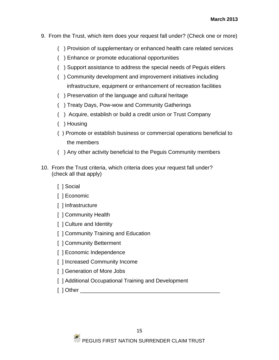- 9. From the Trust, which item does your request fall under? (Check one or more)
	- ( ) Provision of supplementary or enhanced health care related services
	- ( ) Enhance or promote educational opportunities
	- ( ) Support assistance to address the special needs of Peguis elders
	- ( ) Community development and improvement initiatives including infrastructure, equipment or enhancement of recreation facilities
	- ( ) Preservation of the language and cultural heritage
	- ( ) Treaty Days, Pow-wow and Community Gatherings
	- ( ) Acquire, establish or build a credit union or Trust Company
	- ( ) Housing
	- ( ) Promote or establish business or commercial operations beneficial to the members
	- ( ) Any other activity beneficial to the Peguis Community members
- 10. From the Trust criteria, which criteria does your request fall under? (check all that apply)
	- [ ] Social
	- [ ] Economic
	- [ ] Infrastructure
	- [ ] Community Health
	- [ ] Culture and Identity
	- [ ] Community Training and Education
	- [ ] Community Betterment
	- [] Economic Independence
	- [] Increased Community Income
	- [ ] Generation of More Jobs
	- [ ] Additional Occupational Training and Development
	- $\lceil$  ] Other  $\lceil$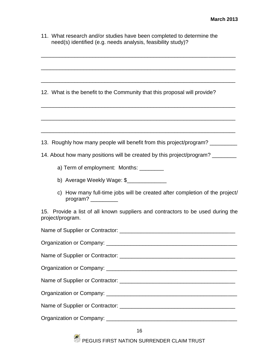| 11. What research and/or studies have been completed to determine the |
|-----------------------------------------------------------------------|
| need(s) identified (e.g. needs analysis, feasibility study)?          |

\_\_\_\_\_\_\_\_\_\_\_\_\_\_\_\_\_\_\_\_\_\_\_\_\_\_\_\_\_\_\_\_\_\_\_\_\_\_\_\_\_\_\_\_\_\_\_\_\_\_\_\_\_\_\_\_\_\_\_\_\_\_\_\_

\_\_\_\_\_\_\_\_\_\_\_\_\_\_\_\_\_\_\_\_\_\_\_\_\_\_\_\_\_\_\_\_\_\_\_\_\_\_\_\_\_\_\_\_\_\_\_\_\_\_\_\_\_\_\_\_\_\_\_\_\_\_\_\_

\_\_\_\_\_\_\_\_\_\_\_\_\_\_\_\_\_\_\_\_\_\_\_\_\_\_\_\_\_\_\_\_\_\_\_\_\_\_\_\_\_\_\_\_\_\_\_\_\_\_\_\_\_\_\_\_\_\_\_\_\_\_\_\_

12. What is the benefit to the Community that this proposal will provide?

| iz. What is the benefit to the Community that this proposal will provide?                                                                                   |  |
|-------------------------------------------------------------------------------------------------------------------------------------------------------------|--|
|                                                                                                                                                             |  |
|                                                                                                                                                             |  |
| 13. Roughly how many people will benefit from this project/program?                                                                                         |  |
| 14. About how many positions will be created by this project/program? _________                                                                             |  |
| a) Term of employment: Months: _________                                                                                                                    |  |
| b) Average Weekly Wage: \$                                                                                                                                  |  |
| c) How many full-time jobs will be created after completion of the project/<br>program? $\frac{1}{\sqrt{1-\frac{1}{2}}\cdot\frac{1}{\sqrt{1-\frac{1}{2}}}}$ |  |
| 15. Provide a list of all known suppliers and contractors to be used during the<br>project/program.                                                         |  |
|                                                                                                                                                             |  |
|                                                                                                                                                             |  |
|                                                                                                                                                             |  |
|                                                                                                                                                             |  |
|                                                                                                                                                             |  |
|                                                                                                                                                             |  |
|                                                                                                                                                             |  |
|                                                                                                                                                             |  |

 $\bullet$  PEGUIS FIRST NATION SURRENDER CLAIM TRUST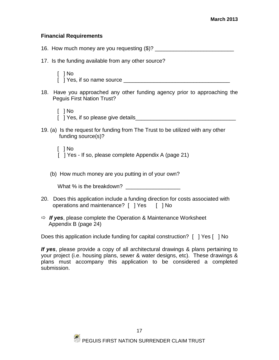#### **Financial Requirements**

16. How much money are you requesting (\$)?

- 17. Is the funding available from any other source?
	- [ ] No [ ] Yes, if so name source \_\_\_\_\_\_\_\_\_\_\_\_\_\_\_\_\_\_\_\_\_\_\_\_\_\_\_\_\_\_\_\_\_\_\_
- 18. Have you approached any other funding agency prior to approaching the Peguis First Nation Trust?
	- [ ] No [ ] Yes, if so please give details\_\_\_\_\_\_\_\_\_\_\_\_\_\_\_\_\_\_\_\_\_\_\_\_\_\_\_\_\_\_\_\_\_
- 19. (a) Is the request for funding from The Trust to be utilized with any other funding source(s)?
	- [ ] No [ ] Yes - If so, please complete Appendix A (page 21)
	- (b) How much money are you putting in of your own?

What % is the breakdown?

- 20. Does this application include a funding direction for costs associated with operations and maintenance? [ ] Yes [ ] No
- *If yes*, please complete the Operation & Maintenance Worksheet Appendix B (page 24)

Does this application include funding for capital construction? [ ] Yes [ ] No

*If yes*, please provide a copy of all architectural drawings & plans pertaining to your project (i.e. housing plans, sewer & water designs, etc). These drawings & plans must accompany this application to be considered a completed submission.

17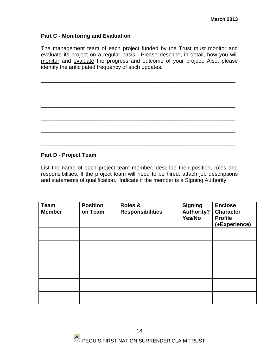#### **Part C - Monitoring and Evaluation**

The management team of each project funded by the Trust must monitor and evaluate its project on a regular basis. Please describe, in detail, how you will monitor and evaluate the progress and outcome of your project. Also, please identify the anticipated frequency of such updates.

\_\_\_\_\_\_\_\_\_\_\_\_\_\_\_\_\_\_\_\_\_\_\_\_\_\_\_\_\_\_\_\_\_\_\_\_\_\_\_\_\_\_\_\_\_\_\_\_\_\_\_\_\_\_\_\_\_\_\_\_\_\_\_\_

\_\_\_\_\_\_\_\_\_\_\_\_\_\_\_\_\_\_\_\_\_\_\_\_\_\_\_\_\_\_\_\_\_\_\_\_\_\_\_\_\_\_\_\_\_\_\_\_\_\_\_\_\_\_\_\_\_\_\_\_\_\_\_\_

\_\_\_\_\_\_\_\_\_\_\_\_\_\_\_\_\_\_\_\_\_\_\_\_\_\_\_\_\_\_\_\_\_\_\_\_\_\_\_\_\_\_\_\_\_\_\_\_\_\_\_\_\_\_\_\_\_\_\_\_\_\_\_\_

\_\_\_\_\_\_\_\_\_\_\_\_\_\_\_\_\_\_\_\_\_\_\_\_\_\_\_\_\_\_\_\_\_\_\_\_\_\_\_\_\_\_\_\_\_\_\_\_\_\_\_\_\_\_\_\_\_\_\_\_\_\_\_\_

\_\_\_\_\_\_\_\_\_\_\_\_\_\_\_\_\_\_\_\_\_\_\_\_\_\_\_\_\_\_\_\_\_\_\_\_\_\_\_\_\_\_\_\_\_\_\_\_\_\_\_\_\_\_\_\_\_\_\_\_\_\_\_\_

\_\_\_\_\_\_\_\_\_\_\_\_\_\_\_\_\_\_\_\_\_\_\_\_\_\_\_\_\_\_\_\_\_\_\_\_\_\_\_\_\_\_\_\_\_\_\_\_\_\_\_\_\_\_\_\_\_\_\_\_\_\_\_\_

#### **Part D - Project Team**

List the name of each project team member, describe their position, roles and responsibilities. If the project team will need to be hired, attach job descriptions and statements of qualification. Indicate if the member is a Signing Authority.

| <b>Team</b><br><b>Member</b> | <b>Position</b><br>on Team | Roles &<br><b>Responsibilities</b> | <b>Signing</b><br>Authority?<br>Yes/No | <b>Enclose</b><br><b>Character</b><br><b>Profile</b><br>(+Experience) |
|------------------------------|----------------------------|------------------------------------|----------------------------------------|-----------------------------------------------------------------------|
|                              |                            |                                    |                                        |                                                                       |
|                              |                            |                                    |                                        |                                                                       |
|                              |                            |                                    |                                        |                                                                       |
|                              |                            |                                    |                                        |                                                                       |
|                              |                            |                                    |                                        |                                                                       |
|                              |                            |                                    |                                        |                                                                       |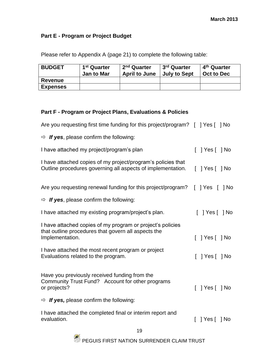## **Part E - Program or Project Budget**

Please refer to Appendix A (page 21) to complete the following table:

| <b>BUDGET</b>   | 1 <sup>st</sup> Quarter<br><b>Jan to Mar</b> | 2 <sup>nd</sup> Quarter<br><b>April to June</b> | 3 <sup>rd</sup> Quarter<br><b>July to Sept</b> | 4 <sup>th</sup> Quarter<br>Oct to Dec |
|-----------------|----------------------------------------------|-------------------------------------------------|------------------------------------------------|---------------------------------------|
| Revenue         |                                              |                                                 |                                                |                                       |
| <b>Expenses</b> |                                              |                                                 |                                                |                                       |

## **Part F - Program or Project Plans, Evaluations & Policies**

| Are you requesting first time funding for this project/program? [ ] Yes [ ] No                                                       |                              |
|--------------------------------------------------------------------------------------------------------------------------------------|------------------------------|
| $\Rightarrow$ If yes, please confirm the following:                                                                                  |                              |
| I have attached my project/program's plan                                                                                            | $[$ $]$ Yes $[$ $]$ No       |
| I have attached copies of my project/program's policies that<br>Outline procedures governing all aspects of implementation.          | [ ]Yes[ ]No                  |
| Are you requesting renewal funding for this project/program?                                                                         | Yes     No<br>$\mathbf{L}$   |
| $\Rightarrow$ If yes, please confirm the following:                                                                                  |                              |
| I have attached my existing program/project's plan.                                                                                  | $[$ $]$ Yes $[$ $]$ No       |
| I have attached copies of my program or project's policies<br>that outline procedures that govern all aspects the<br>Implementation. | Yes [   No                   |
| I have attached the most recent program or project<br>Evaluations related to the program.                                            | Yes [   No                   |
| Have you previously received funding from the<br>Community Trust Fund? Account for other programs<br>or projects?                    | $\lceil$ ] Yes $\lceil$ ] No |
| $\Rightarrow$ If yes, please confirm the following:                                                                                  |                              |
| I have attached the completed final or interim report and<br>evaluation.                                                             | Yes [   No                   |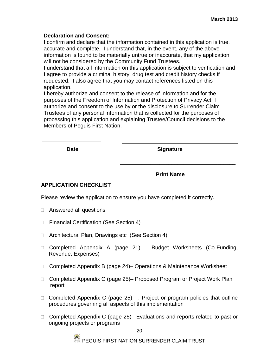#### **Declaration and Consent:**

I confirm and declare that the information contained in this application is true, accurate and complete. I understand that, in the event, any of the above information is found to be materially untrue or inaccurate, that my application will not be considered by the Community Fund Trustees.

I understand that all information on this application is subject to verification and I agree to provide a criminal history, drug test and credit history checks if requested. I also agree that you may contact references listed on this application.

I hereby authorize and consent to the release of information and for the purposes of the Freedom of Information and Protection of Privacy Act, I authorize and consent to the use by or the disclosure to Surrender Claim Trustees of any personal information that is collected for the purposes of processing this application and explaining Trustee/Council decisions to the Members of Peguis First Nation.

 $\overline{\phantom{a}}$  ,  $\overline{\phantom{a}}$  ,  $\overline{\phantom{a}}$  ,  $\overline{\phantom{a}}$  ,  $\overline{\phantom{a}}$  ,  $\overline{\phantom{a}}$  ,  $\overline{\phantom{a}}$  ,  $\overline{\phantom{a}}$  ,  $\overline{\phantom{a}}$  ,  $\overline{\phantom{a}}$  ,  $\overline{\phantom{a}}$  ,  $\overline{\phantom{a}}$  ,  $\overline{\phantom{a}}$  ,  $\overline{\phantom{a}}$  ,  $\overline{\phantom{a}}$  ,  $\overline{\phantom{a}}$ 

**Date Signature** 

#### **Print Name**

#### **APPLICATION CHECKLIST**

Please review the application to ensure you have completed it correctly.

- □ Answered all questions
- □ Financial Certification (See Section 4)
- □ Architectural Plan, Drawings etc (See Section 4)
- □ Completed Appendix A (page 21) Budget Worksheets (Co-Funding, Revenue, Expenses)
- □ Completed Appendix B (page 24)– Operations & Maintenance Worksheet
- □ Completed Appendix C (page 25)– Proposed Program or Project Work Plan report
- $\Box$  Completed Appendix C (page 25) : Project or program policies that outline procedures governing all aspects of this implementation
- □ Completed Appendix C (page 25)– Evaluations and reports related to past or ongoing projects or programs

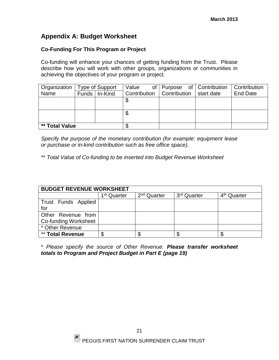## **Appendix A: Budget Worksheet**

#### **Co-Funding For This Program or Project**

Co-funding will enhance your chances of getting funding from the Trust. Please describe how you will work with other groups, organizations or communities in achieving the objectives of your program or project.

| Organization          |  | Type of Support | Value                       | of Purpose of Contribution |            | Contribution    |
|-----------------------|--|-----------------|-----------------------------|----------------------------|------------|-----------------|
| Name                  |  | Funds   In-Kind | Contribution   Contribution |                            | start date | <b>End Date</b> |
|                       |  |                 | S                           |                            |            |                 |
|                       |  |                 |                             |                            |            |                 |
|                       |  |                 | T<br>Æ                      |                            |            |                 |
|                       |  |                 |                             |                            |            |                 |
| <b>** Total Value</b> |  | œ               |                             |                            |            |                 |

*Specify the purpose of the monetary contribution (for example: equipment lease or purchase or in-kind contribution such as free office space).*

\*\* *Total Value of Co-funding to be inserted into Budget Revenue Worksheet*

| <b>BUDGET REVENUE WORKSHEET</b> |                         |                         |                         |                         |  |
|---------------------------------|-------------------------|-------------------------|-------------------------|-------------------------|--|
|                                 | 1 <sup>st</sup> Quarter | 2 <sup>nd</sup> Quarter | 3 <sup>rd</sup> Quarter | 4 <sup>th</sup> Quarter |  |
| Trust Funds Applied             |                         |                         |                         |                         |  |
| for                             |                         |                         |                         |                         |  |
| Other Revenue from              |                         |                         |                         |                         |  |
| Co-funding Worksheet            |                         |                         |                         |                         |  |
| * Other Revenue                 |                         |                         |                         |                         |  |
| ** Total Revenue                | ጥ                       |                         | S                       |                         |  |

\* *Please specify the source of Other Revenue. Please transfer worksheet totals to Program and Project Budget in Part E (page 19)*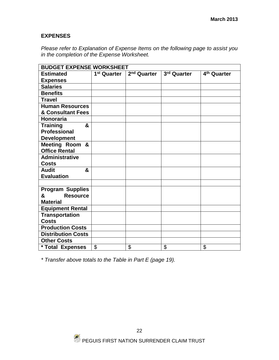#### **EXPENSES**

*Please refer to Explanation of Expense Items on the following page to assist you in the completion of the Expense Worksheet.*

|                           | <b>BUDGET EXPENSE WORKSHEET</b> |                         |             |                         |  |  |
|---------------------------|---------------------------------|-------------------------|-------------|-------------------------|--|--|
| <b>Estimated</b>          | 1 <sup>st</sup> Quarter         | $\sqrt{2^{nd}}$ Quarter | 3rd Quarter | 4 <sup>th</sup> Quarter |  |  |
| <b>Expenses</b>           |                                 |                         |             |                         |  |  |
| <b>Salaries</b>           |                                 |                         |             |                         |  |  |
| <b>Benefits</b>           |                                 |                         |             |                         |  |  |
| <b>Travel</b>             |                                 |                         |             |                         |  |  |
| <b>Human Resources</b>    |                                 |                         |             |                         |  |  |
| & Consultant Fees         |                                 |                         |             |                         |  |  |
| <b>Honoraria</b>          |                                 |                         |             |                         |  |  |
| <b>Training</b><br>&      |                                 |                         |             |                         |  |  |
| <b>Professional</b>       |                                 |                         |             |                         |  |  |
| <b>Development</b>        |                                 |                         |             |                         |  |  |
| Meeting Room &            |                                 |                         |             |                         |  |  |
| <b>Office Rental</b>      |                                 |                         |             |                         |  |  |
| <b>Administrative</b>     |                                 |                         |             |                         |  |  |
| <b>Costs</b>              |                                 |                         |             |                         |  |  |
| <b>Audit</b><br>&         |                                 |                         |             |                         |  |  |
| <b>Evaluation</b>         |                                 |                         |             |                         |  |  |
|                           |                                 |                         |             |                         |  |  |
| <b>Program Supplies</b>   |                                 |                         |             |                         |  |  |
| &<br><b>Resource</b>      |                                 |                         |             |                         |  |  |
| <b>Material</b>           |                                 |                         |             |                         |  |  |
| <b>Equipment Rental</b>   |                                 |                         |             |                         |  |  |
| <b>Transportation</b>     |                                 |                         |             |                         |  |  |
| <b>Costs</b>              |                                 |                         |             |                         |  |  |
| <b>Production Costs</b>   |                                 |                         |             |                         |  |  |
| <b>Distribution Costs</b> |                                 |                         |             |                         |  |  |
| <b>Other Costs</b>        |                                 |                         |             |                         |  |  |
| * Total Expenses          | \$                              | \$                      | \$          | \$                      |  |  |

*\* Transfer above totals to the Table in Part E (page 19).*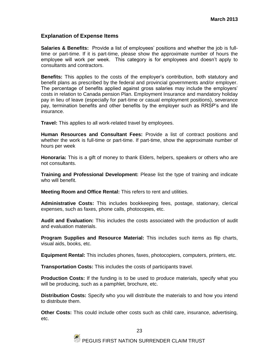#### **Explanation of Expense Items**

**Salaries & Benefits:** Provide a list of employees' positions and whether the job is fulltime or part-time. If it is part-time, please show the approximate number of hours the employee will work per week. This category is for employees and doesn't apply to consultants and contractors.

**Benefits:** This applies to the costs of the employer's contribution, both statutory and benefit plans as prescribed by the federal and provincial governments and/or employer. The percentage of benefits applied against gross salaries may include the employers' costs in relation to Canada pension Plan. Employment Insurance and mandatory holiday pay in lieu of leave (especially for part-time or casual employment positions), severance pay, termination benefits and other benefits by the employer such as RRSP's and life insurance.

**Travel:** This applies to all work-related travel by employees.

**Human Resources and Consultant Fees:** Provide a list of contract positions and whether the work is full-time or part-time. If part-time, show the approximate number of hours per week

**Honoraria:** This is a gift of money to thank Elders, helpers, speakers or others who are not consultants.

**Training and Professional Development:** Please list the type of training and indicate who will benefit.

**Meeting Room and Office Rental:** This refers to rent and utilities.

**Administrative Costs:** This includes bookkeeping fees, postage, stationary, clerical expenses, such as faxes, phone calls, photocopies, etc.

**Audit and Evaluation:** This includes the costs associated with the production of audit and evaluation materials.

**Program Supplies and Resource Material:** This includes such items as flip charts, visual aids, books, etc.

**Equipment Rental:** This includes phones, faxes, photocopiers, computers, printers, etc.

**Transportation Costs:** This includes the costs of participants travel.

**Production Costs:** If the funding is to be used to produce materials, specify what you will be producing, such as a pamphlet, brochure, etc.

**Distribution Costs:** Specify who you will distribute the materials to and how you intend to distribute them.

**Other Costs:** This could include other costs such as child care, insurance, advertising, etc.

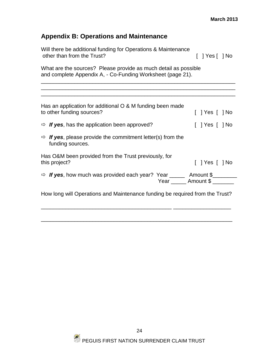## **Appendix B: Operations and Maintenance**

| Will there be additional funding for Operations & Maintenance<br>other than from the Trust?                                   | [ ]Yes[ ]No               |
|-------------------------------------------------------------------------------------------------------------------------------|---------------------------|
| What are the sources? Please provide as much detail as possible<br>and complete Appendix A, - Co-Funding Worksheet (page 21). |                           |
| Has an application for additional O & M funding been made<br>to other funding sources?                                        | [ ] Yes [ ] No            |
| $\Rightarrow$ If yes, has the application been approved?                                                                      |                           |
| $\Rightarrow$ <b>If yes</b> , please provide the commitment letter(s) from the<br>funding sources.                            |                           |
| Has O&M been provided from the Trust previously, for<br>this project?                                                         | $[$   Yes $[$   No        |
| $\Rightarrow$ If yes, how much was provided each year? Year _______ Amount \$________                                         | Year ______ Amount \$ ___ |
| How long will Operations and Maintenance funding be required from the Trust?                                                  |                           |

\_\_\_\_\_\_\_\_\_\_\_\_\_\_\_\_\_\_\_\_\_\_\_\_\_\_\_\_\_\_\_\_\_\_\_\_\_\_\_\_\_\_\_\_\_\_\_\_\_\_\_\_\_\_\_\_\_\_\_\_\_\_\_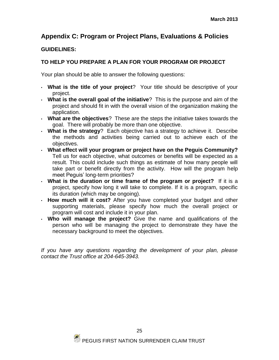## **Appendix C: Program or Project Plans, Evaluations & Policies**

### **GUIDELINES:**

### **TO HELP YOU PREPARE A PLAN FOR YOUR PROGRAM OR PROJECT**

Your plan should be able to answer the following questions:

- **What is the title of your project**? Your title should be descriptive of your project.
- **What is the overall goal of the initiative**? This is the purpose and aim of the project and should fit in with the overall vision of the organization making the application.
- **What are the objectives**? These are the steps the initiative takes towards the goal. There will probably be more than one objective.
- **What is the strategy**? Each objective has a strategy to achieve it. Describe the methods and activities being carried out to achieve each of the objectives.
- **What effect will your program or project have on the Peguis Community?** Tell us for each objective, what outcomes or benefits will be expected as a result. This could include such things as estimate of how many people will take part or benefit directly from the activity. How will the program help meet Peguis' long-term priorities?
- **What is the duration or time frame of the program or project?** If it is a project, specify how long it will take to complete. If it is a program, specific its duration (which may be ongoing).
- **How much will it cost?** After you have completed your budget and other supporting materials, please specify how much the overall project or program will cost and include it in your plan.
- **Who will manage the project?** Give the name and qualifications of the person who will be managing the project to demonstrate they have the necessary background to meet the objectives.

*If you have any questions regarding the development of your plan, please contact the Trust office at 204-645-3943.*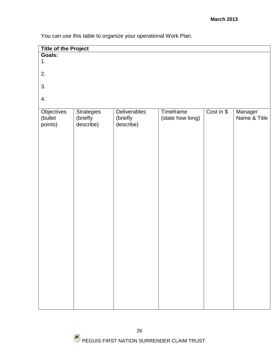You can use this table to organize your operational Work Plan.

| <b>Title of the Project</b>      |                                            |                                              |                               |            |                         |
|----------------------------------|--------------------------------------------|----------------------------------------------|-------------------------------|------------|-------------------------|
| <b>Goals:</b>                    |                                            |                                              |                               |            |                         |
| 1.                               |                                            |                                              |                               |            |                         |
| 2.                               |                                            |                                              |                               |            |                         |
| 3.                               |                                            |                                              |                               |            |                         |
| 4.                               |                                            |                                              |                               |            |                         |
| Objectives<br>(bullet<br>points) | <b>Strategies</b><br>(briefly<br>describe) | <b>Deliverables</b><br>(briefly<br>describe) | Timeframe<br>(state how long) | Cost in \$ | Manager<br>Name & Title |
|                                  |                                            |                                              |                               |            |                         |
|                                  |                                            |                                              |                               |            |                         |
|                                  |                                            |                                              |                               |            |                         |